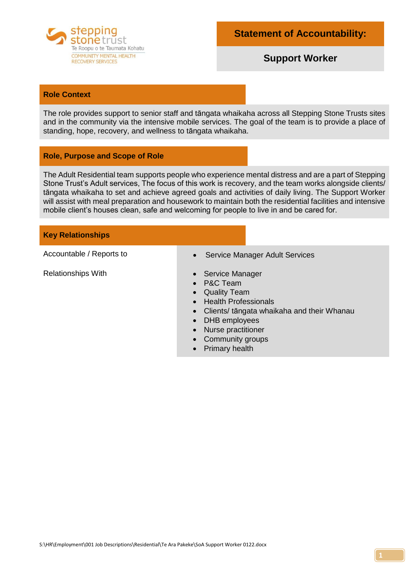

# **Statement of Accountability:**

# **Support Worker**

#### **Role Context**

The role provides support to senior staff and tāngata whaikaha across all Stepping Stone Trusts sites and in the community via the intensive mobile services. The goal of the team is to provide a place of standing, hope, recovery, and wellness to tāngata whaikaha.

#### **Role, Purpose and Scope of Role**

The Adult Residential team supports people who experience mental distress and are a part of Stepping Stone Trust's Adult services, The focus of this work is recovery, and the team works alongside clients/ tāngata whaikaha to set and achieve agreed goals and activities of daily living. The Support Worker will assist with meal preparation and housework to maintain both the residential facilities and intensive mobile client's houses clean, safe and welcoming for people to live in and be cared for.

#### **Key Relationships**

- Accountable / Reports to  **Service Manager Adult Services**
- Relationships With **•** Service Manager
	- P&C Team
	- Quality Team
	- Health Professionals
	- Clients/ tāngata whaikaha and their Whanau
	- DHB employees
	- Nurse practitioner
	- Community groups
	- Primary health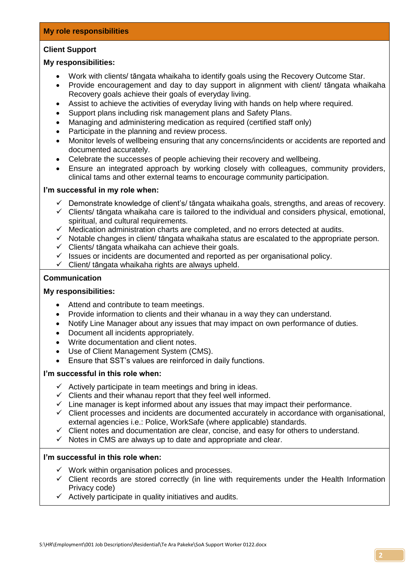## **Client Support**

#### **My responsibilities:**

- Work with clients/ tāngata whaikaha to identify goals using the Recovery Outcome Star.
- Provide encouragement and day to day support in alignment with client/ tāngata whaikaha Recovery goals achieve their goals of everyday living.
- Assist to achieve the activities of everyday living with hands on help where required.
- Support plans including risk management plans and Safety Plans.
- Managing and administering medication as required (certified staff only)
- Participate in the planning and review process.
- Monitor levels of wellbeing ensuring that any concerns/incidents or accidents are reported and documented accurately.
- Celebrate the successes of people achieving their recovery and wellbeing.
- Ensure an integrated approach by working closely with colleagues, community providers, clinical tams and other external teams to encourage community participation.

#### **I'm successful in my role when:**

- ✓ Demonstrate knowledge of client's/ tāngata whaikaha goals, strengths, and areas of recovery.
- $\checkmark$  Clients/ tāngata whaikaha care is tailored to the individual and considers physical, emotional, spiritual, and cultural requirements.
- ✓ Medication administration charts are completed, and no errors detected at audits.
- ✓ Notable changes in client/ tāngata whaikaha status are escalated to the appropriate person.
- ✓ Clients/ tāngata whaikaha can achieve their goals.
- $\checkmark$  Issues or incidents are documented and reported as per organisational policy.
- ✓ Client/ tāngata whaikaha rights are always upheld.

#### **Communication**

#### **My responsibilities:**

- Attend and contribute to team meetings.
- Provide information to clients and their whanau in a way they can understand.
- Notify Line Manager about any issues that may impact on own performance of duties.
- Document all incidents appropriately.
- Write documentation and client notes.
- Use of Client Management System (CMS).
- Ensure that SST's values are reinforced in daily functions.

#### **I'm successful in this role when:**

- $\checkmark$  Actively participate in team meetings and bring in ideas.
- $\checkmark$  Clients and their whanau report that they feel well informed.
- $\checkmark$  Line manager is kept informed about any issues that may impact their performance.
- $\checkmark$  Client processes and incidents are documented accurately in accordance with organisational, external agencies i.e.: Police, WorkSafe (where applicable) standards.
- $\checkmark$  Client notes and documentation are clear, concise, and easy for others to understand.
- $\checkmark$  Notes in CMS are always up to date and appropriate and clear.

#### **I'm successful in this role when:**

- $\checkmark$  Work within organisation polices and processes.
- $\checkmark$  Client records are stored correctly (in line with requirements under the Health Information Privacy code)
- $\checkmark$  Actively participate in quality initiatives and audits.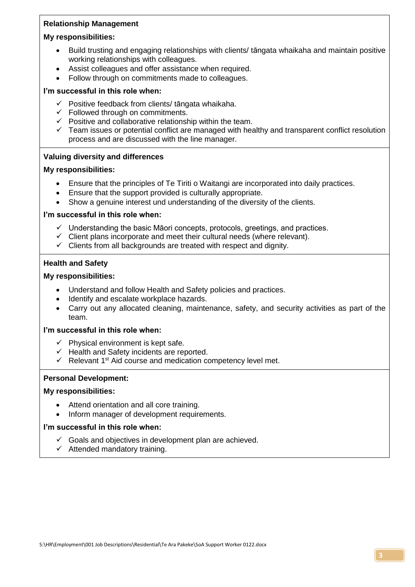## **Relationship Management**

#### **My responsibilities:**

- Build trusting and engaging relationships with clients/ tāngata whaikaha and maintain positive working relationships with colleagues.
- Assist colleagues and offer assistance when required.
- Follow through on commitments made to colleagues.

## **I'm successful in this role when:**

- ✓ Positive feedback from clients/ tāngata whaikaha.
- $\checkmark$  Followed through on commitments.
- $\checkmark$  Positive and collaborative relationship within the team.
- $\checkmark$  Team issues or potential conflict are managed with healthy and transparent conflict resolution process and are discussed with the line manager.

#### **Valuing diversity and differences**

#### **My responsibilities:**

- Ensure that the principles of Te Tiriti o Waitangi are incorporated into daily practices.
- Ensure that the support provided is culturally appropriate.
- Show a genuine interest und understanding of the diversity of the clients.

#### **I'm successful in this role when:**

- $\checkmark$  Understanding the basic Māori concepts, protocols, greetings, and practices.
- $\checkmark$  Client plans incorporate and meet their cultural needs (where relevant).
- $\checkmark$  Clients from all backgrounds are treated with respect and dignity.

#### **Health and Safety**

#### **My responsibilities:**

- Understand and follow Health and Safety policies and practices.
- Identify and escalate workplace hazards.
- Carry out any allocated cleaning, maintenance, safety, and security activities as part of the team.

#### **I'm successful in this role when:**

- $\checkmark$  Physical environment is kept safe.
- ✓ Health and Safety incidents are reported.
- $\checkmark$  Relevant 1<sup>st</sup> Aid course and medication competency level met.

#### **Personal Development:**

#### **My responsibilities:**

- Attend orientation and all core training.
- Inform manager of development requirements.

#### **I'm successful in this role when:**

- $\checkmark$  Goals and objectives in development plan are achieved.
- $\checkmark$  Attended mandatory training.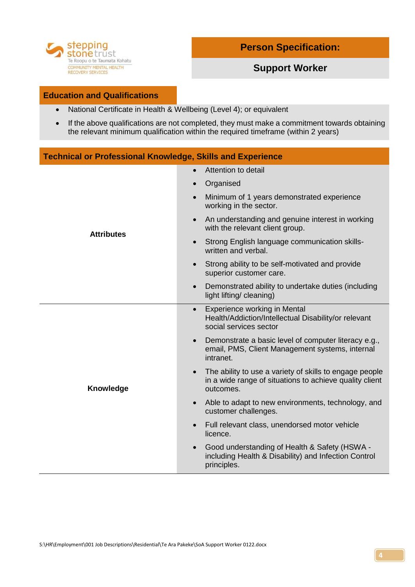

# **Person Specification:**

# **Support Worker**

#### **Education and Qualifications**

- National Certificate in Health & Wellbeing (Level 4); or equivalent
- If the above qualifications are not completed, they must make a commitment towards obtaining the relevant minimum qualification within the required timeframe (within 2 years)

| <b>Technical or Professional Knowledge, Skills and Experience</b> |                                                                                                                                              |  |
|-------------------------------------------------------------------|----------------------------------------------------------------------------------------------------------------------------------------------|--|
| <b>Attributes</b>                                                 | Attention to detail<br>$\bullet$                                                                                                             |  |
|                                                                   | Organised<br>$\bullet$                                                                                                                       |  |
|                                                                   | Minimum of 1 years demonstrated experience<br>$\bullet$<br>working in the sector.                                                            |  |
|                                                                   | An understanding and genuine interest in working<br>$\bullet$<br>with the relevant client group.                                             |  |
|                                                                   | Strong English language communication skills-<br>$\bullet$<br>written and verbal.                                                            |  |
|                                                                   | Strong ability to be self-motivated and provide<br>$\bullet$<br>superior customer care.                                                      |  |
|                                                                   | Demonstrated ability to undertake duties (including<br>$\bullet$<br>light lifting/ cleaning)                                                 |  |
| Knowledge                                                         | Experience working in Mental<br>$\bullet$<br>Health/Addiction/Intellectual Disability/or relevant<br>social services sector                  |  |
|                                                                   | Demonstrate a basic level of computer literacy e.g.,<br>$\bullet$<br>email, PMS, Client Management systems, internal<br>intranet.            |  |
|                                                                   | The ability to use a variety of skills to engage people<br>$\bullet$<br>in a wide range of situations to achieve quality client<br>outcomes. |  |
|                                                                   | Able to adapt to new environments, technology, and<br>$\bullet$<br>customer challenges.                                                      |  |
|                                                                   | Full relevant class, unendorsed motor vehicle<br>$\bullet$<br>licence.                                                                       |  |
|                                                                   | Good understanding of Health & Safety (HSWA -<br>$\bullet$<br>including Health & Disability) and Infection Control<br>principles.            |  |